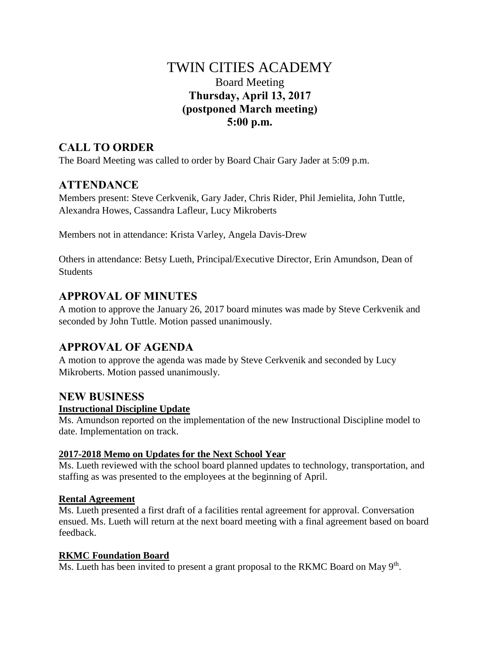# TWIN CITIES ACADEMY Board Meeting **Thursday, April 13, 2017 (postponed March meeting) 5:00 p.m.**

# **CALL TO ORDER**

The Board Meeting was called to order by Board Chair Gary Jader at 5:09 p.m.

# **ATTENDANCE**

Members present: Steve Cerkvenik, Gary Jader, Chris Rider, Phil Jemielita, John Tuttle, Alexandra Howes, Cassandra Lafleur, Lucy Mikroberts

Members not in attendance: Krista Varley, Angela Davis-Drew

Others in attendance: Betsy Lueth, Principal/Executive Director, Erin Amundson, Dean of **Students** 

# **APPROVAL OF MINUTES**

A motion to approve the January 26, 2017 board minutes was made by Steve Cerkvenik and seconded by John Tuttle. Motion passed unanimously.

# **APPROVAL OF AGENDA**

A motion to approve the agenda was made by Steve Cerkvenik and seconded by Lucy Mikroberts. Motion passed unanimously.

## **NEW BUSINESS**

## **Instructional Discipline Update**

Ms. Amundson reported on the implementation of the new Instructional Discipline model to date. Implementation on track.

## **2017-2018 Memo on Updates for the Next School Year**

Ms. Lueth reviewed with the school board planned updates to technology, transportation, and staffing as was presented to the employees at the beginning of April.

## **Rental Agreement**

Ms. Lueth presented a first draft of a facilities rental agreement for approval. Conversation ensued. Ms. Lueth will return at the next board meeting with a final agreement based on board feedback.

## **RKMC Foundation Board**

Ms. Lueth has been invited to present a grant proposal to the RKMC Board on May 9<sup>th</sup>.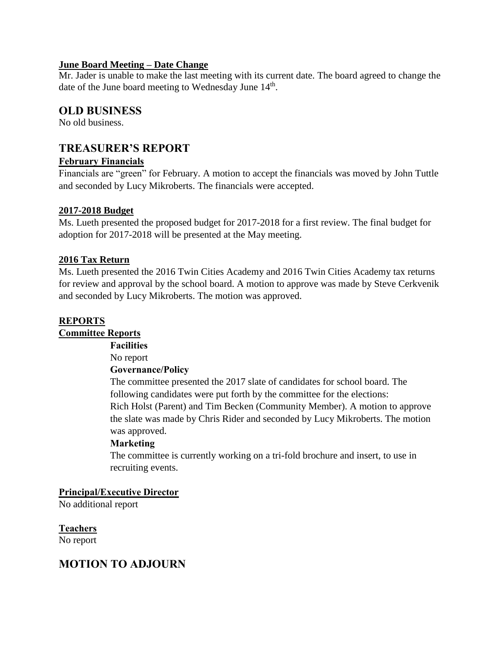#### **June Board Meeting – Date Change**

Mr. Jader is unable to make the last meeting with its current date. The board agreed to change the date of the June board meeting to Wednesday June 14<sup>th</sup>.

## **OLD BUSINESS**

No old business.

## **TREASURER'S REPORT**

#### **February Financials**

Financials are "green" for February. A motion to accept the financials was moved by John Tuttle and seconded by Lucy Mikroberts. The financials were accepted.

#### **2017-2018 Budget**

Ms. Lueth presented the proposed budget for 2017-2018 for a first review. The final budget for adoption for 2017-2018 will be presented at the May meeting.

#### **2016 Tax Return**

Ms. Lueth presented the 2016 Twin Cities Academy and 2016 Twin Cities Academy tax returns for review and approval by the school board. A motion to approve was made by Steve Cerkvenik and seconded by Lucy Mikroberts. The motion was approved.

## **REPORTS**

#### **Committee Reports**

**Facilities**

No report

## **Governance/Policy**

 The committee presented the 2017 slate of candidates for school board. The following candidates were put forth by the committee for the elections: Rich Holst (Parent) and Tim Becken (Community Member). A motion to approve the slate was made by Chris Rider and seconded by Lucy Mikroberts. The motion was approved.

#### **Marketing**

The committee is currently working on a tri-fold brochure and insert, to use in recruiting events.

**Principal/Executive Director**

No additional report

**Teachers** No report

# **MOTION TO ADJOURN**